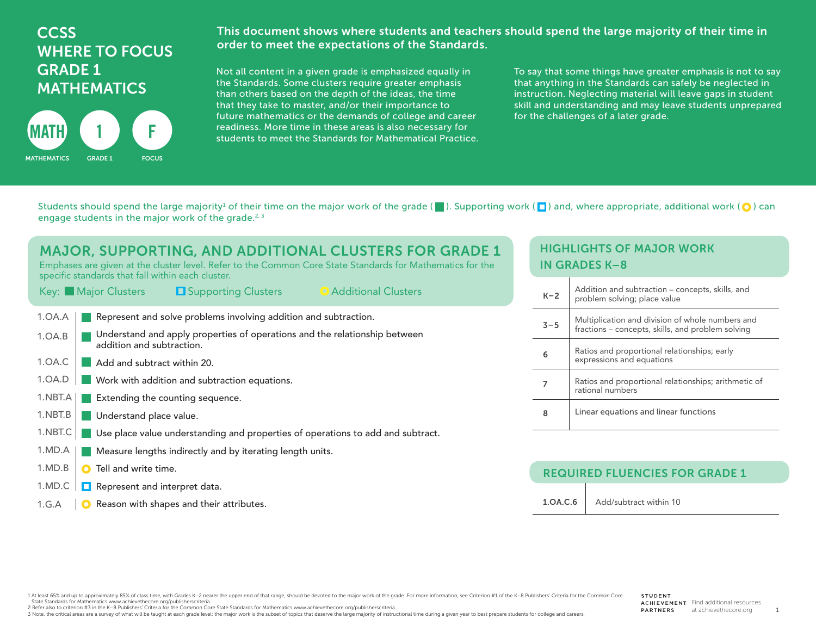# **CCSS** WHERE TO FOCUS GRADE 1 **MATHEMATICS**



This document shows where students and teachers should spend the large majority of their time in order to meet the expectations of the Standards.

Not all content in a given grade is emphasized equally in the Standards. Some clusters require greater emphasis than others based on the depth of the ideas, the time that they take to master, and/or their importance to future mathematics or the demands of college and career readiness. More time in these areas is also necessary for students to meet the Standards for Mathematical Practice.

To say that some things have greater emphasis is not to say that anything in the Standards can safely be neglected in instruction. Neglecting material will leave gaps in student skill and understanding and may leave students unprepared for the challenges of a later grade.

Students should spend the large majority<sup>1</sup> of their time on the major work of the grade ( $\Box$ ). Supporting work ( $\Box$ ) and, where appropriate, additional work ( $\bigcirc$ ) can engage students in the major work of the grade.<sup>2, 3</sup>

| MAJOR, SUPPORTING, AND ADDITIONAL CLUSTERS FOR GRADE 1<br>Emphases are given at the cluster level. Refer to the Common Core State Standards for Mathematics for the<br>specific standards that fall within each cluster.<br>• Additional Clusters<br>Key: Major Clusters<br><b>E</b> Supporting Clusters |  |  |
|----------------------------------------------------------------------------------------------------------------------------------------------------------------------------------------------------------------------------------------------------------------------------------------------------------|--|--|
| Represent and solve problems involving addition and subtraction.<br>1.OA.A                                                                                                                                                                                                                               |  |  |
| Understand and apply properties of operations and the relationship between<br>1.0A.B<br>addition and subtraction.                                                                                                                                                                                        |  |  |
| 1.0A.C<br>Add and subtract within 20.                                                                                                                                                                                                                                                                    |  |  |
| 1.0A.D<br>Work with addition and subtraction equations.                                                                                                                                                                                                                                                  |  |  |
| 1.NBT.A<br>Extending the counting sequence.                                                                                                                                                                                                                                                              |  |  |
| 1.NBT.B<br>Understand place value.                                                                                                                                                                                                                                                                       |  |  |
| 1.NBT.C<br>Use place value understanding and properties of operations to add and subtract.                                                                                                                                                                                                               |  |  |
| 1.MD.A<br>Measure lengths indirectly and by iterating length units.                                                                                                                                                                                                                                      |  |  |
| 1.MD.B<br>Tell and write time.<br>O                                                                                                                                                                                                                                                                      |  |  |
| Represent and interpret data.<br>1.MD.C                                                                                                                                                                                                                                                                  |  |  |

**O** Reason with shapes and their attributes. 1.G.A

#### HIGHLIGHTS OF MAJOR WORK IN GRADES K–8

| $K-2$   | Addition and subtraction – concepts, skills, and<br>problem solving; place value                      |
|---------|-------------------------------------------------------------------------------------------------------|
| $3 - 5$ | Multiplication and division of whole numbers and<br>fractions – concepts, skills, and problem solving |
| 6       | Ratios and proportional relationships; early<br>expressions and equations                             |
|         | Ratios and proportional relationships; arithmetic of<br>rational numbers                              |
| 8       | Linear equations and linear functions                                                                 |

#### REQUIRED FLUENCIES FOR GRADE 1

1.OA.C.6 | Add/subtract within 10

1 At least 65% and up to approximately 85% of class time, with Grades K-2 nearer the upper end of that range, should be devoted to the major work of the grade. For more information, see Criterion #1 of the K-8 Publishers' State Standards for Mathematics www.achievethecore.org/publisherscriteria.

2 Refer also to criterion #3 in the K–8 Publishers' Criteria for the Common Core State Standards for Mathematics www.achievethecore.org/publisherscriteria.

3 Note, the critical areas are a survey of what will be taught at each grade level; the major work is the subset of topics that deserve the large majority of instructional time during a given year to best prepare students

1